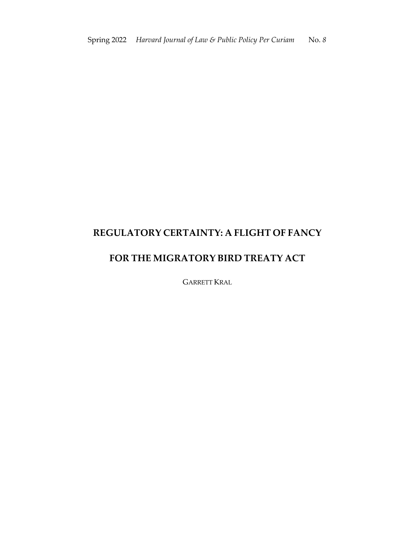# **REGULATORY CERTAINTY: A FLIGHT OF FANCY**

## **FOR THE MIGRATORY BIRD TREATY ACT**

GARRETT KRAL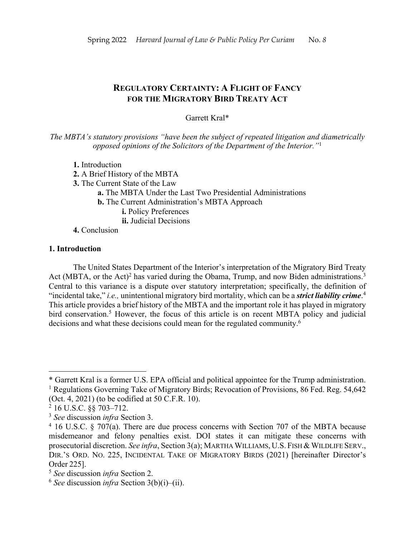### **REGULATORY CERTAINTY: A FLIGHT OF FANCY FOR THE MIGRATORY BIRD TREATY ACT**

#### Garrett Kral\*

*The MBTA's statutory provisions "have been the subject of repeated litigation and diametrically opposed opinions of the Solicitors of the Department of the Interior."*<sup>1</sup>

- **1.** Introduction
- **2.** A Brief History of the MBTA
- **3.** The Current State of the Law
	- **a.** The MBTA Under the Last Two Presidential Administrations
	- **b.** The Current Administration's MBTA Approach
		- **i.** Policy Preferences
		- **ii.** Judicial Decisions
- **4.** Conclusion

#### **1. Introduction**

The United States Department of the Interior's interpretation of the Migratory Bird Treaty Act (MBTA, or the Act)<sup>2</sup> has varied during the Obama, Trump, and now Biden administrations.<sup>3</sup> Central to this variance is a dispute over statutory interpretation; specifically, the definition of "incidental take," *i.e.,* unintentional migratory bird mortality, which can be a *strict liability crime*. 4 This article provides a brief history of the MBTA and the important role it has played in migratory bird conservation.<sup>5</sup> However, the focus of this article is on recent MBTA policy and judicial decisions and what these decisions could mean for the regulated community.<sup>6</sup>

<sup>\*</sup> Garrett Kral is a former U.S. EPA official and political appointee for the Trump administration. <sup>1</sup> Regulations Governing Take of Migratory Birds; Revocation of Provisions, 86 Fed. Reg. 54,642 (Oct. 4, 2021) (to be codified at 50 C.F.R. 10).

<sup>2</sup> 16 U.S.C. §§ 703–712.

<sup>3</sup> *See* discussion *infra* Section 3.

<sup>&</sup>lt;sup>4</sup> 16 U.S.C. § 707(a). There are due process concerns with Section 707 of the MBTA because misdemeanor and felony penalties exist. DOI states it can mitigate these concerns with prosecutorial discretion. *See infra*, Section 3(a); MARTHA WILLIAMS, U.S. FISH & WILDLIFE SERV., DIR.'S ORD. NO. 225, INCIDENTAL TAKE OF MIGRATORY BIRDS (2021) [hereinafter Director's Order 225].

<sup>5</sup> *See* discussion *infra* Section 2.

<sup>6</sup> *See* discussion *infra* Section 3(b)(i)–(ii).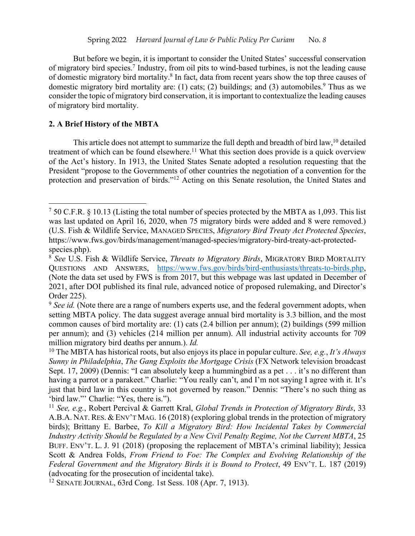But before we begin, it is important to consider the United States' successful conservation of migratory bird species.7 Industry, from oil pits to wind-based turbines, is not the leading cause of domestic migratory bird mortality.8 In fact, data from recent years show the top three causes of domestic migratory bird mortality are: (1) cats; (2) buildings; and (3) automobiles.<sup>9</sup> Thus as we consider the topic of migratory bird conservation, it is important to contextualize the leading causes of migratory bird mortality.

#### **2. A Brief History of the MBTA**

This article does not attempt to summarize the full depth and breadth of bird law,  $10$  detailed treatment of which can be found elsewhere.<sup>11</sup> What this section does provide is a quick overview of the Act's history. In 1913, the United States Senate adopted a resolution requesting that the President "propose to the Governments of other countries the negotiation of a convention for the protection and preservation of birds."12 Acting on this Senate resolution, the United States and

<sup>7</sup> 50 C.F.R. § 10.13 (Listing the total number of species protected by the MBTA as 1,093. This list was last updated on April 16, 2020, when 75 migratory birds were added and 8 were removed.) (U.S. Fish & Wildlife Service, MANAGED SPECIES, *Migratory Bird Treaty Act Protected Species*, https://www.fws.gov/birds/management/managed-species/migratory-bird-treaty-act-protectedspecies.php).

<sup>8</sup> *See* U.S. Fish & Wildlife Service, *Threats to Migratory Birds*, MIGRATORY BIRD MORTALITY QUESTIONS AND ANSWERS, https://www.fws.gov/birds/bird-enthusiasts/threats-to-birds.php, (Note the data set used by FWS is from 2017, but this webpage was last updated in December of 2021, after DOI published its final rule, advanced notice of proposed rulemaking, and Director's Order 225).

<sup>&</sup>lt;sup>9</sup> See id. (Note there are a range of numbers experts use, and the federal government adopts, when setting MBTA policy. The data suggest average annual bird mortality is 3.3 billion, and the most common causes of bird mortality are: (1) cats (2.4 billion per annum); (2) buildings (599 million per annum); and (3) vehicles (214 million per annum). All industrial activity accounts for 709 million migratory bird deaths per annum.). *Id.*

<sup>10</sup> The MBTA has historical roots, but also enjoys its place in popular culture. *See, e.g.*, *It's Always Sunny in Philadelphia*, *The Gang Exploits the Mortgage Crisis* (FX Network television broadcast Sept. 17, 2009) (Dennis: "I can absolutely keep a hummingbird as a pet . . . it's no different than having a parrot or a parakeet." Charlie: "You really can't, and I'm not saying I agree with it. It's just that bird law in this country is not governed by reason." Dennis: "There's no such thing as 'bird law."' Charlie: "Yes, there is.").

<sup>11</sup> *See, e.g.*, Robert Percival & Garrett Kral, *Global Trends in Protection of Migratory Birds*, 33 A.B.A. NAT. RES. & ENV'T MAG. 16 (2018) (exploring global trends in the protection of migratory birds); Brittany E. Barbee, *To Kill a Migratory Bird: How Incidental Takes by Commercial Industry Activity Should be Regulated by a New Civil Penalty Regime, Not the Current MBTA*, 25 BUFF. ENV'T. L. J. 91 (2018) (proposing the replacement of MBTA's criminal liability); Jessica Scott & Andrea Folds, *From Friend to Foe: The Complex and Evolving Relationship of the Federal Government and the Migratory Birds it is Bound to Protect*, 49 ENV'T. L. 187 (2019) (advocating for the prosecution of incidental take).

<sup>12</sup> SENATE JOURNAL, 63rd Cong. 1st Sess. 108 (Apr. 7, 1913).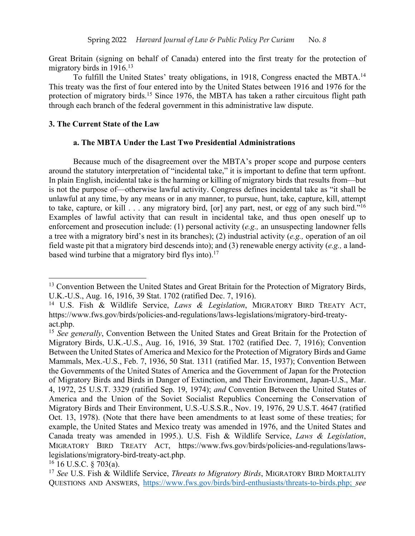Great Britain (signing on behalf of Canada) entered into the first treaty for the protection of migratory birds in 1916.<sup>13</sup>

To fulfill the United States' treaty obligations, in 1918, Congress enacted the MBTA.14 This treaty was the first of four entered into by the United States between 1916 and 1976 for the protection of migratory birds.<sup>15</sup> Since 1976, the MBTA has taken a rather circuitous flight path through each branch of the federal government in this administrative law dispute.

#### **3. The Current State of the Law**

#### **a. The MBTA Under the Last Two Presidential Administrations**

Because much of the disagreement over the MBTA's proper scope and purpose centers around the statutory interpretation of "incidental take," it is important to define that term upfront. In plain English, incidental take is the harming or killing of migratory birds that results from—but is not the purpose of—otherwise lawful activity. Congress defines incidental take as "it shall be unlawful at any time, by any means or in any manner, to pursue, hunt, take, capture, kill, attempt to take, capture, or kill . . . any migratory bird, [or] any part, nest, or egg of any such bird."16 Examples of lawful activity that can result in incidental take, and thus open oneself up to enforcement and prosecution include: (1) personal activity (*e.g.,* an unsuspecting landowner fells a tree with a migratory bird's nest in its branches); (2) industrial activity (*e.g.,* operation of an oil field waste pit that a migratory bird descends into); and (3) renewable energy activity (*e.g.,* a landbased wind turbine that a migratory bird flys into).<sup>17</sup>

<sup>&</sup>lt;sup>13</sup> Convention Between the United States and Great Britain for the Protection of Migratory Birds, U.K.-U.S., Aug. 16, 1916, 39 Stat. 1702 (ratified Dec. 7, 1916).

<sup>14</sup> U.S. Fish & Wildlife Service, *Laws & Legislation*, MIGRATORY BIRD TREATY ACT, https://www.fws.gov/birds/policies-and-regulations/laws-legislations/migratory-bird-treatyact.php.

<sup>&</sup>lt;sup>15</sup> *See generally*, Convention Between the United States and Great Britain for the Protection of Migratory Birds, U.K.-U.S., Aug. 16, 1916, 39 Stat. 1702 (ratified Dec. 7, 1916); Convention Between the United States of America and Mexico for the Protection of Migratory Birds and Game Mammals, Mex.-U.S., Feb. 7, 1936, 50 Stat. 1311 (ratified Mar. 15, 1937); Convention Between the Governments of the United States of America and the Government of Japan for the Protection of Migratory Birds and Birds in Danger of Extinction, and Their Environment, Japan-U.S., Mar. 4, 1972, 25 U.S.T. 3329 (ratified Sep. 19, 1974); *and* Convention Between the United States of America and the Union of the Soviet Socialist Republics Concerning the Conservation of Migratory Birds and Their Environment, U.S.-U.S.S.R., Nov. 19, 1976, 29 U.S.T. 4647 (ratified Oct. 13, 1978). (Note that there have been amendments to at least some of these treaties; for example, the United States and Mexico treaty was amended in 1976, and the United States and Canada treaty was amended in 1995.). U.S. Fish & Wildlife Service, *Laws & Legislation*, MIGRATORY BIRD TREATY ACT, https://www.fws.gov/birds/policies-and-regulations/lawslegislations/migratory-bird-treaty-act.php.

 $16$  U.S.C. § 703(a).

<sup>17</sup> *See* U.S. Fish & Wildlife Service, *Threats to Migratory Birds*, MIGRATORY BIRD MORTALITY QUESTIONS AND ANSWERS, https://www.fws.gov/birds/bird-enthusiasts/threats-to-birds.php; *see*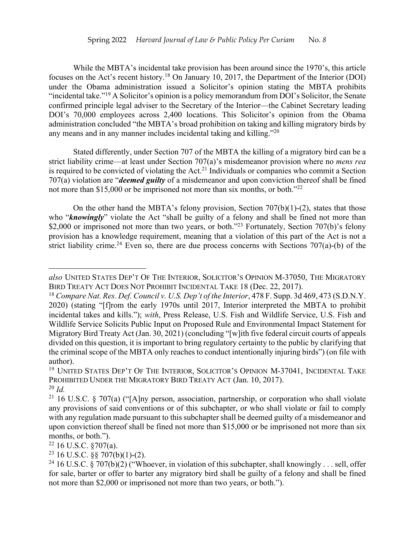While the MBTA's incidental take provision has been around since the 1970's, this article focuses on the Act's recent history.18 On January 10, 2017, the Department of the Interior (DOI) under the Obama administration issued a Solicitor's opinion stating the MBTA prohibits "incidental take."19 A Solicitor's opinion is a policy memorandum from DOI's Solicitor, the Senate confirmed principle legal adviser to the Secretary of the Interior—the Cabinet Secretary leading DOI's 70,000 employees across 2,400 locations. This Solicitor's opinion from the Obama administration concluded "the MBTA's broad prohibition on taking and killing migratory birds by any means and in any manner includes incidental taking and killing."20

Stated differently, under Section 707 of the MBTA the killing of a migratory bird can be a strict liability crime—at least under Section 707(a)'s misdemeanor provision where no *mens rea* is required to be convicted of violating the Act.<sup>21</sup> Individuals or companies who commit a Section 707(a) violation are "*deemed guilty* of a misdemeanor and upon conviction thereof shall be fined not more than \$15,000 or be imprisoned not more than six months, or both."22

On the other hand the MBTA's felony provision, Section  $707(b)(1)-(2)$ , states that those who "**knowingly**" violate the Act "shall be guilty of a felony and shall be fined not more than \$2,000 or imprisoned not more than two years, or both."<sup>23</sup> Fortunately, Section 707(b)'s felony provision has a knowledge requirement, meaning that a violation of this part of the Act is not a strict liability crime.<sup>24</sup> Even so, there are due process concerns with Sections 707(a)-(b) of the

*also* UNITED STATES DEP'T OF THE INTERIOR, SOLICITOR'S OPINION M-37050, THE MIGRATORY BIRD TREATY ACT DOES NOT PROHIBIT INCIDENTAL TAKE 18 (Dec. 22, 2017).

<sup>18</sup> *Compare Nat. Res. Def. Council v. U.S. Dep't of the Interior*, 478 F. Supp. 3d 469, 473 (S.D.N.Y. 2020) (stating "[f]rom the early 1970s until 2017, Interior interpreted the MBTA to prohibit incidental takes and kills."); *with*, Press Release, U.S. Fish and Wildlife Service, U.S. Fish and Wildlife Service Solicits Public Input on Proposed Rule and Environmental Impact Statement for Migratory Bird Treaty Act (Jan. 30, 2021) (concluding "[w]ith five federal circuit courts of appeals divided on this question, it is important to bring regulatory certainty to the public by clarifying that the criminal scope of the MBTA only reaches to conduct intentionally injuring birds") (on file with author).

<sup>&</sup>lt;sup>19</sup> UNITED STATES DEP'T OF THE INTERIOR, SOLICITOR'S OPINION M-37041, INCIDENTAL TAKE PROHIBITED UNDER THE MIGRATORY BIRD TREATY ACT (Jan. 10, 2017). <sup>20</sup> *Id.*

<sup>&</sup>lt;sup>21</sup> 16 U.S.C. § 707(a) ("[A]ny person, association, partnership, or corporation who shall violate any provisions of said conventions or of this subchapter, or who shall violate or fail to comply with any regulation made pursuant to this subchapter shall be deemed guilty of a misdemeanor and upon conviction thereof shall be fined not more than \$15,000 or be imprisoned not more than six months, or both.").

 $22$  16 U.S.C. §707(a).

 $23$  16 U.S.C. §§ 707(b)(1)-(2).

<sup>&</sup>lt;sup>24</sup> 16 U.S.C.  $\check{\S}$  707(b)(2) ("Whoever, in violation of this subchapter, shall knowingly . . . sell, offer for sale, barter or offer to barter any migratory bird shall be guilty of a felony and shall be fined not more than \$2,000 or imprisoned not more than two years, or both.").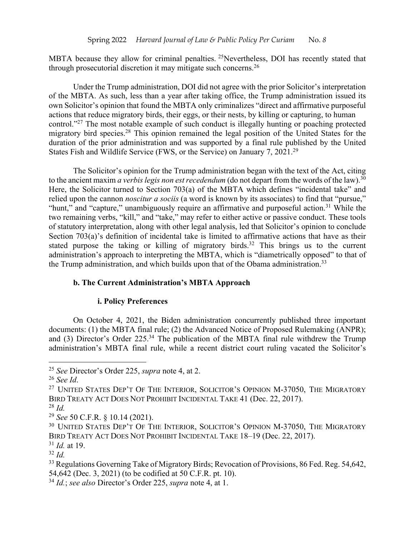MBTA because they allow for criminal penalties. <sup>25</sup>Nevertheless, DOI has recently stated that through prosecutorial discretion it may mitigate such concerns.26

Under the Trump administration, DOI did not agree with the prior Solicitor's interpretation of the MBTA. As such, less than a year after taking office, the Trump administration issued its own Solicitor's opinion that found the MBTA only criminalizes "direct and affirmative purposeful actions that reduce migratory birds, their eggs, or their nests, by killing or capturing, to human control."27 The most notable example of such conduct is illegally hunting or poaching protected migratory bird species.<sup>28</sup> This opinion remained the legal position of the United States for the duration of the prior administration and was supported by a final rule published by the United States Fish and Wildlife Service (FWS, or the Service) on January 7, 2021.29

The Solicitor's opinion for the Trump administration began with the text of the Act, citing to the ancient maxim *a verbis legis non est recedendum* (do not depart from the words of the law).<sup>30</sup> Here, the Solicitor turned to Section 703(a) of the MBTA which defines "incidental take" and relied upon the cannon *noscitur a sociis* (a word is known by its associates) to find that "pursue," "hunt," and "capture," unambiguously require an affirmative and purposeful action.<sup>31</sup> While the two remaining verbs, "kill," and "take," may refer to either active or passive conduct. These tools of statutory interpretation, along with other legal analysis, led that Solicitor's opinion to conclude Section 703(a)'s definition of incidental take is limited to affirmative actions that have as their stated purpose the taking or killing of migratory birds.<sup>32</sup> This brings us to the current administration's approach to interpreting the MBTA, which is "diametrically opposed" to that of the Trump administration, and which builds upon that of the Obama administration.<sup>33</sup>

#### **b. The Current Administration's MBTA Approach**

### **i. Policy Preferences**

On October 4, 2021, the Biden administration concurrently published three important documents: (1) the MBTA final rule; (2) the Advanced Notice of Proposed Rulemaking (ANPR); and (3) Director's Order  $225.^{34}$  The publication of the MBTA final rule withdrew the Trump administration's MBTA final rule, while a recent district court ruling vacated the Solicitor's

<sup>28</sup> *Id.*

<sup>31</sup> *Id.* at 19.

<sup>25</sup> *See* Director's Order 225, *supra* note 4, at 2.

<sup>26</sup> *See Id*.

<sup>&</sup>lt;sup>27</sup> UNITED STATES DEP'T OF THE INTERIOR, SOLICITOR'S OPINION M-37050, THE MIGRATORY BIRD TREATY ACT DOES NOT PROHIBIT INCIDENTAL TAKE 41 (Dec. 22, 2017).

<sup>29</sup> *See* 50 C.F.R. § 10.14 (2021).

<sup>&</sup>lt;sup>30</sup> UNITED STATES DEP'T OF THE INTERIOR, SOLICITOR'S OPINION M-37050, THE MIGRATORY BIRD TREATY ACT DOES NOT PROHIBIT INCIDENTAL TAKE 18–19 (Dec. 22, 2017).

<sup>32</sup> *Id.*

<sup>&</sup>lt;sup>33</sup> Regulations Governing Take of Migratory Birds; Revocation of Provisions, 86 Fed. Reg. 54,642, 54,642 (Dec. 3, 2021) (to be codified at 50 C.F.R. pt. 10).

<sup>34</sup> *Id.*; *see also* Director's Order 225, *supra* note 4, at 1.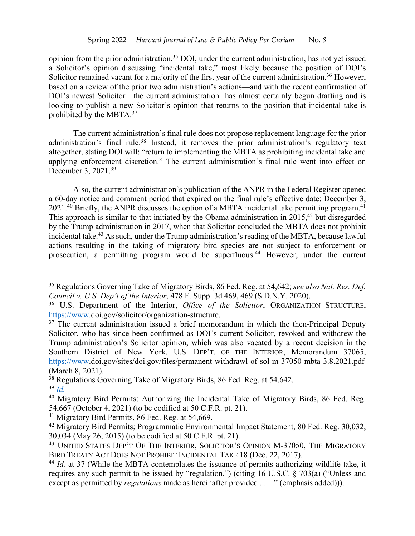opinion from the prior administration.35 DOI, under the current administration, has not yet issued a Solicitor's opinion discussing "incidental take," most likely because the position of DOI's Solicitor remained vacant for a majority of the first year of the current administration.<sup>36</sup> However, based on a review of the prior two administration's actions—and with the recent confirmation of DOI's newest Solicitor—the current administration has almost certainly begun drafting and is looking to publish a new Solicitor's opinion that returns to the position that incidental take is prohibited by the MBTA.<sup>37</sup>

The current administration's final rule does not propose replacement language for the prior administration's final rule.<sup>38</sup> Instead, it removes the prior administration's regulatory text altogether, stating DOI will: "return to implementing the MBTA as prohibiting incidental take and applying enforcement discretion." The current administration's final rule went into effect on December 3, 2021.39

Also, the current administration's publication of the ANPR in the Federal Register opened a 60-day notice and comment period that expired on the final rule's effective date: December 3, 2021.<sup>40</sup> Briefly, the ANPR discusses the option of a MBTA incidental take permitting program.<sup>41</sup> This approach is similar to that initiated by the Obama administration in  $2015<sup>42</sup>$  but disregarded by the Trump administration in 2017, when that Solicitor concluded the MBTA does not prohibit incidental take.43 As such, under the Trump administration's reading of the MBTA, because lawful actions resulting in the taking of migratory bird species are not subject to enforcement or prosecution, a permitting program would be superfluous. <sup>44</sup> However, under the current

<sup>35</sup> Regulations Governing Take of Migratory Birds, 86 Fed. Reg. at 54,642; *see also Nat. Res. Def. Council v. U.S. Dep't of the Interior*, 478 F. Supp. 3d 469, 469 (S.D.N.Y. 2020).

<sup>36</sup> U.S. Department of the Interior, *Office of the Solicitor*, ORGANIZATION STRUCTURE, https://www.doi.gov/solicitor/organization-structure.

 $37$  The current administration issued a brief memorandum in which the then-Principal Deputy Solicitor, who has since been confirmed as DOI's current Solicitor, revoked and withdrew the Trump administration's Solicitor opinion, which was also vacated by a recent decision in the Southern District of New York. U.S. DEP'T. OF THE INTERIOR, Memorandum 37065, https://www.doi.gov/sites/doi.gov/files/permanent-withdrawl-of-sol-m-37050-mbta-3.8.2021.pdf (March 8, 2021).

<sup>&</sup>lt;sup>38</sup> Regulations Governing Take of Migratory Birds, 86 Fed. Reg. at 54,642.

<sup>39</sup> *Id.*

<sup>&</sup>lt;sup>40</sup> Migratory Bird Permits: Authorizing the Incidental Take of Migratory Birds, 86 Fed. Reg. 54,667 (October 4, 2021) (to be codified at 50 C.F.R. pt. 21).

<sup>&</sup>lt;sup>41</sup> Migratory Bird Permits, 86 Fed. Reg. at 54,669.

<sup>&</sup>lt;sup>42</sup> Migratory Bird Permits; Programmatic Environmental Impact Statement, 80 Fed. Reg. 30,032, 30,034 (May 26, 2015) (to be codified at 50 C.F.R. pt. 21).

<sup>&</sup>lt;sup>43</sup> UNITED STATES DEP'T OF THE INTERIOR, SOLICITOR'S OPINION M-37050, THE MIGRATORY BIRD TREATY ACT DOES NOT PROHIBIT INCIDENTAL TAKE 18 (Dec. 22, 2017).

<sup>44</sup> *Id.* at 37 (While the MBTA contemplates the issuance of permits authorizing wildlife take, it requires any such permit to be issued by "regulation.") (citing 16 U.S.C. § 703(a) ("Unless and except as permitted by *regulations* made as hereinafter provided . . . ." (emphasis added))).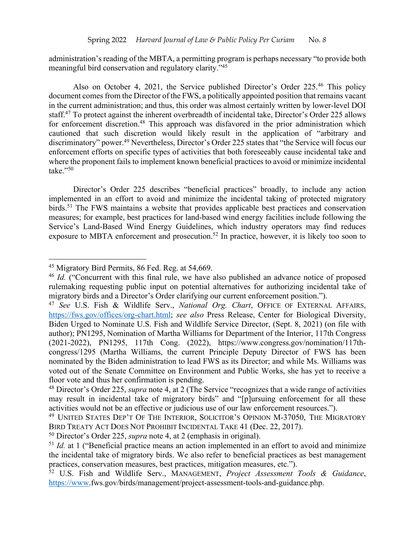administration's reading of the MBTA, a permitting program is perhaps necessary "to provide both meaningful bird conservation and regulatory clarity."45

Also on October 4, 2021, the Service published Director's Order 225.<sup>46</sup> This policy document comes from the Director of the FWS, a politically appointed position that remains vacant in the current administration; and thus, this order was almost certainly written by lower-level DOI staff.<sup>47</sup> To protect against the inherent overbreadth of incidental take, Director's Order 225 allows for enforcement discretion.<sup>48</sup> This approach was disfavored in the prior administration which cautioned that such discretion would likely result in the application of "arbitrary and discriminatory" power.49 Nevertheless, Director's Order 225 states that "the Service will focus our enforcement efforts on specific types of activities that both foreseeably cause incidental take and where the proponent fails to implement known beneficial practices to avoid or minimize incidental take." $50$ 

Director's Order 225 describes "beneficial practices" broadly, to include any action implemented in an effort to avoid and minimize the incidental taking of protected migratory birds.<sup>51</sup> The FWS maintains a website that provides applicable best practices and conservation measures; for example, best practices for land-based wind energy facilities include following the Service's Land-Based Wind Energy Guidelines, which industry operators may find reduces exposure to MBTA enforcement and prosecution.<sup>52</sup> In practice, however, it is likely too soon to

<sup>&</sup>lt;sup>45</sup> Migratory Bird Permits, 86 Fed. Reg. at 54,669.

<sup>&</sup>lt;sup>46</sup> *Id.* ("Concurrent with this final rule, we have also published an advance notice of proposed rulemaking requesting public input on potential alternatives for authorizing incidental take of migratory birds and a Director's Order clarifying our current enforcement position.").

<sup>47</sup> *See* U.S. Fish & Wildlife Serv., *National Org. Chart*, OFFICE OF EXTERNAL AFFAIRS, https://fws.gov/offices/org-chart.html; *see also* Press Release, Center for Biological Diversity, Biden Urged to Nominate U.S. Fish and Wildlife Service Director, (Sept. 8, 2021) (on file with author); PN1295, Nomination of Martha Williams for Department of the Interior, 117th Congress (2021-2022), PN1295, 117th Cong. (2022), https://www.congress.gov/nomination/117thcongress/1295 (Martha Williams, the current Principle Deputy Director of FWS has been nominated by the Biden administration to lead FWS as its Director; and while Ms. Williams was voted out of the Senate Committee on Environment and Public Works, she has yet to receive a floor vote and thus her confirmation is pending.

<sup>48</sup> Director's Order 225, *supra* note 4, at 2 (The Service "recognizes that a wide range of activities may result in incidental take of migratory birds" and "[p]ursuing enforcement for all these activities would not be an effective or judicious use of our law enforcement resources.").

<sup>49</sup> UNITED STATES DEP'T OF THE INTERIOR, SOLICITOR'S OPINION M-37050, THE MIGRATORY BIRD TREATY ACT DOES NOT PROHIBIT INCIDENTAL TAKE 41 (Dec. 22, 2017).

<sup>50</sup> Director's Order 225, *supra* note 4, at 2 (emphasis in original).

<sup>&</sup>lt;sup>51</sup> *Id.* at 1 ("Beneficial practice means an action implemented in an effort to avoid and minimize the incidental take of migratory birds. We also refer to beneficial practices as best management practices, conservation measures, best practices, mitigation measures, etc.").

<sup>52</sup> U.S. Fish and Wildlife Serv., MANAGEMENT, *Project Assessment Tools & Guidance*, https://www.fws.gov/birds/management/project-assessment-tools-and-guidance.php.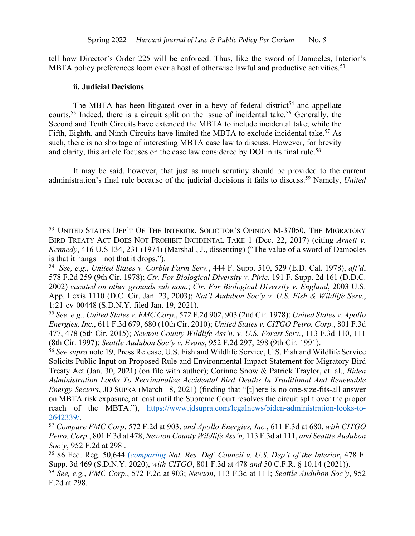tell how Director's Order 225 will be enforced. Thus, like the sword of Damocles, Interior's MBTA policy preferences loom over a host of otherwise lawful and productive activities.<sup>53</sup>

#### **ii. Judicial Decisions**

The MBTA has been litigated over in a bevy of federal district<sup>54</sup> and appellate courts.<sup>55</sup> Indeed, there is a circuit split on the issue of incidental take.<sup>56</sup> Generally, the Second and Tenth Circuits have extended the MBTA to include incidental take; while the Fifth, Eighth, and Ninth Circuits have limited the MBTA to exclude incidental take.<sup>57</sup> As such, there is no shortage of interesting MBTA case law to discuss. However, for brevity and clarity, this article focuses on the case law considered by DOI in its final rule.<sup>58</sup>

It may be said, however, that just as much scrutiny should be provided to the current administration's final rule because of the judicial decisions it fails to discuss.59 Namely, *United* 

<sup>53</sup> UNITED STATES DEP'T OF THE INTERIOR, SOLICITOR'S OPINION M-37050, THE MIGRATORY BIRD TREATY ACT DOES NOT PROHIBIT INCIDENTAL TAKE 1 (Dec. 22, 2017) (citing *Arnett v. Kennedy*, 416 U.S 134, 231 (1974) (Marshall, J., dissenting) ("The value of a sword of Damocles is that it hangs—not that it drops.").

<sup>54</sup> *See, e.g.*, *United States v. Corbin Farm Serv.*, 444 F. Supp. 510, 529 (E.D. Cal. 1978), *aff'd*, 578 F.2d 259 (9th Cir. 1978); *Ctr. For Biological Diversity v. Pirie*, 191 F. Supp. 2d 161 (D.D.C. 2002) *vacated on other grounds sub nom.*; *Ctr. For Biological Diversity v. England*, 2003 U.S. App. Lexis 1110 (D.C. Cir. Jan. 23, 2003); *Nat'l Audubon Soc'y v. U.S. Fish & Wildlife Serv.*, 1:21-cv-00448 (S.D.N.Y. filed Jan. 19, 2021).

<sup>55</sup> *See, e.g., United States v. FMC Corp*., 572 F.2d 902, 903 (2nd Cir. 1978); *United States v. Apollo Energies, Inc.*, 611 F.3d 679, 680 (10th Cir. 2010); *United States v. CITGO Petro. Corp.*, 801 F.3d 477, 478 (5th Cir. 2015); *Newton County Wildlife Ass'n. v. U.S. Forest Serv.*, 113 F.3d 110, 111 (8th Cir. 1997); *Seattle Audubon Soc'y v. Evans*, 952 F.2d 297, 298 (9th Cir. 1991).

<sup>56</sup> *See supra* note 19, Press Release, U.S. Fish and Wildlife Service, U.S. Fish and Wildlife Service Solicits Public Input on Proposed Rule and Environmental Impact Statement for Migratory Bird Treaty Act (Jan. 30, 2021) (on file with author); Corinne Snow & Patrick Traylor, et. al., *Biden Administration Looks To Recriminalize Accidental Bird Deaths In Traditional And Renewable Energy Sectors*, JD SUPRA (March 18, 2021) (finding that "[t]here is no one-size-fits-all answer on MBTA risk exposure, at least until the Supreme Court resolves the circuit split over the proper reach of the MBTA."), https://www.jdsupra.com/legalnews/biden-administration-looks-to-2642339/.

<sup>57</sup> *Compare FMC Corp*. 572 F.2d at 903, *and Apollo Energies, Inc.*, 611 F.3d at 680, *with CITGO Petro. Corp.*, 801 F.3d at 478, *Newton County Wildlife Ass'n,* 113 F.3d at 111, *and Seattle Audubon Soc'y*, 952 F.2d at 298 .

<sup>58</sup> 86 Fed. Reg. 50,644 (*comparing Nat. Res. Def. Council v. U.S. Dep't of the Interior*, 478 F. Supp. 3d 469 (S.D.N.Y. 2020), *with CITGO*, 801 F.3d at 478 *and* 50 C.F.R. § 10.14 (2021)).

<sup>59</sup> *See, e.g.*, *FMC Corp.*, 572 F.2d at 903; *Newton*, 113 F.3d at 111; *Seattle Audubon Soc'y*, 952 F.2d at 298.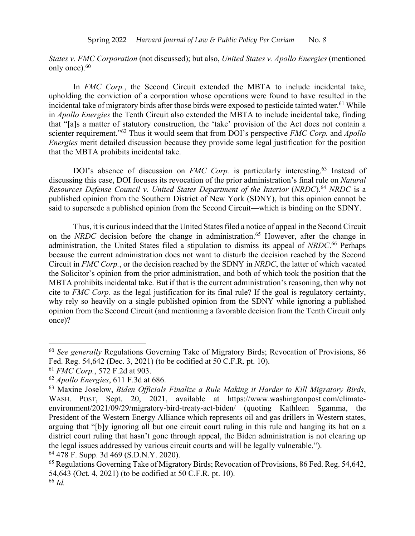*States v. FMC Corporation* (not discussed); but also, *United States v. Apollo Energies* (mentioned only once).<sup>60</sup>

In *FMC Corp.*, the Second Circuit extended the MBTA to include incidental take, upholding the conviction of a corporation whose operations were found to have resulted in the incidental take of migratory birds after those birds were exposed to pesticide tainted water.<sup>61</sup> While in *Apollo Energies* the Tenth Circuit also extended the MBTA to include incidental take, finding that "[a]s a matter of statutory construction, the 'take' provision of the Act does not contain a scienter requirement."62 Thus it would seem that from DOI's perspective *FMC Corp.* and *Apollo Energies* merit detailed discussion because they provide some legal justification for the position that the MBTA prohibits incidental take.

DOI's absence of discussion on *FMC Corp.* is particularly interesting.<sup>63</sup> Instead of discussing this case, DOI focuses its revocation of the prior administration's final rule on *Natural Resources Defense Council v. United States Department of the Interior* (*NRDC*).64 *NRDC* is a published opinion from the Southern District of New York (SDNY), but this opinion cannot be said to supersede a published opinion from the Second Circuit—which is binding on the SDNY.

Thus, it is curious indeed that the United States filed a notice of appeal in the Second Circuit on the *NRDC* decision before the change in administration.<sup>65</sup> However, after the change in administration, the United States filed a stipulation to dismiss its appeal of *NRDC*. <sup>66</sup> Perhaps because the current administration does not want to disturb the decision reached by the Second Circuit in *FMC Corp.*, or the decision reached by the SDNY in *NRDC*, the latter of which vacated the Solicitor's opinion from the prior administration, and both of which took the position that the MBTA prohibits incidental take. But if that is the current administration's reasoning, then why not cite to *FMC Corp.* as the legal justification for its final rule? If the goal is regulatory certainty, why rely so heavily on a single published opinion from the SDNY while ignoring a published opinion from the Second Circuit (and mentioning a favorable decision from the Tenth Circuit only once)?

<sup>60</sup> *See generally* Regulations Governing Take of Migratory Birds; Revocation of Provisions, 86 Fed. Reg. 54,642 (Dec. 3, 2021) (to be codified at 50 C.F.R. pt. 10).

<sup>61</sup> *FMC Corp.*, 572 F.2d at 903.

<sup>62</sup> *Apollo Energies*, 611 F.3d at 686.

<sup>63</sup> Maxine Joselow, *Biden Officials Finalize a Rule Making it Harder to Kill Migratory Birds*, WASH. POST, Sept. 20, 2021, available at https://www.washingtonpost.com/climateenvironment/2021/09/29/migratory-bird-treaty-act-biden/ (quoting Kathleen Sgamma, the President of the Western Energy Alliance which represents oil and gas drillers in Western states, arguing that "[b]y ignoring all but one circuit court ruling in this rule and hanging its hat on a district court ruling that hasn't gone through appeal, the Biden administration is not clearing up the legal issues addressed by various circuit courts and will be legally vulnerable."). <sup>64</sup> 478 F. Supp. 3d 469 (S.D.N.Y. 2020).

<sup>65</sup> Regulations Governing Take of Migratory Birds; Revocation of Provisions, 86 Fed. Reg. 54,642, 54,643 (Oct. 4, 2021) (to be codified at 50 C.F.R. pt. 10). <sup>66</sup> *Id.*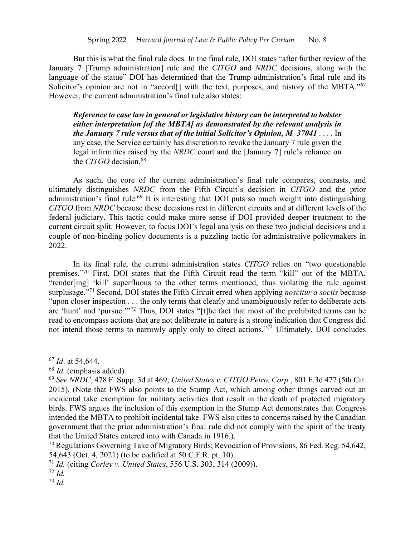But this is what the final rule does. In the final rule, DOI states "after further review of the January 7 [Trump administration] rule and the *CITGO* and *NRDC* decisions, along with the language of the statue" DOI has determined that the Trump administration's final rule and its Solicitor's opinion are not in "accord<sup>[]</sup> with the text, purposes, and history of the MBTA."<sup>67</sup> However, the current administration's final rule also states:

*Reference to case law in general or legislative history can be interpreted to bolster either interpretation [of the MBTA] as demonstrated by the relevant analysis in the January 7 rule versus that of the initial Solicitor's Opinion, M‒37041* . . . . In any case, the Service certainly has discretion to revoke the January 7 rule given the legal infirmities raised by the *NRDC* court and the [January 7] rule's reliance on the *CITGO* decision.68

As such, the core of the current administration's final rule compares, contrasts, and ultimately distinguishes *NRDC* from the Fifth Circuit's decision in *CITGO* and the prior administration's final rule.<sup>69</sup> It is interesting that DOI puts so much weight into distinguishing *CITGO* from *NRDC* because these decisions rest in different circuits and at different levels of the federal judiciary. This tactic could make more sense if DOI provided deeper treatment to the current circuit split. However, to focus DOI's legal analysis on these two judicial decisions and a couple of non-binding policy documents is a puzzling tactic for administrative policymakers in 2022.

In its final rule, the current administration states *CITGO* relies on "two questionable premises."70 First, DOI states that the Fifth Circuit read the term "kill" out of the MBTA, "render[ing] 'kill' superfluous to the other terms mentioned, thus violating the rule against surplusage."71 Second, DOI states the Fifth Circuit erred when applying *noscitur a sociis* because "upon closer inspection . . . the only terms that clearly and unambiguously refer to deliberate acts are 'hunt' and 'pursue.'"72 Thus, DOI states "[t]he fact that most of the prohibited terms can be read to encompass actions that are not deliberate in nature is a strong indication that Congress did not intend those terms to narrowly apply only to direct actions."73 Ultimately, DOI concludes

<sup>67</sup> *Id*. at 54,644.

<sup>68</sup> *Id.* (emphasis added).

<sup>69</sup> *See NRDC*, 478 F. Supp. 3d at 469; *United States v. CITGO Petro. Corp.*, 801 F.3d 477 (5th Cir. 2015). (Note that FWS also points to the Stump Act, which among other things carved out an incidental take exemption for military activities that result in the death of protected migratory birds. FWS argues the inclusion of this exemption in the Stump Act demonstrates that Congress intended the MBTA to prohibit incidental take. FWS also cites to concerns raised by the Canadian government that the prior administration's final rule did not comply with the spirit of the treaty that the United States entered into with Canada in 1916.).

<sup>70</sup> Regulations Governing Take of Migratory Birds; Revocation of Provisions, 86 Fed. Reg. 54,642, 54,643 (Oct. 4, 2021) (to be codified at 50 C.F.R. pt. 10).

<sup>71</sup> *Id.* (citing *Corley v. United States*, 556 U.S. 303, 314 (2009)).

<sup>72</sup> *Id.*

<sup>73</sup> *Id.*